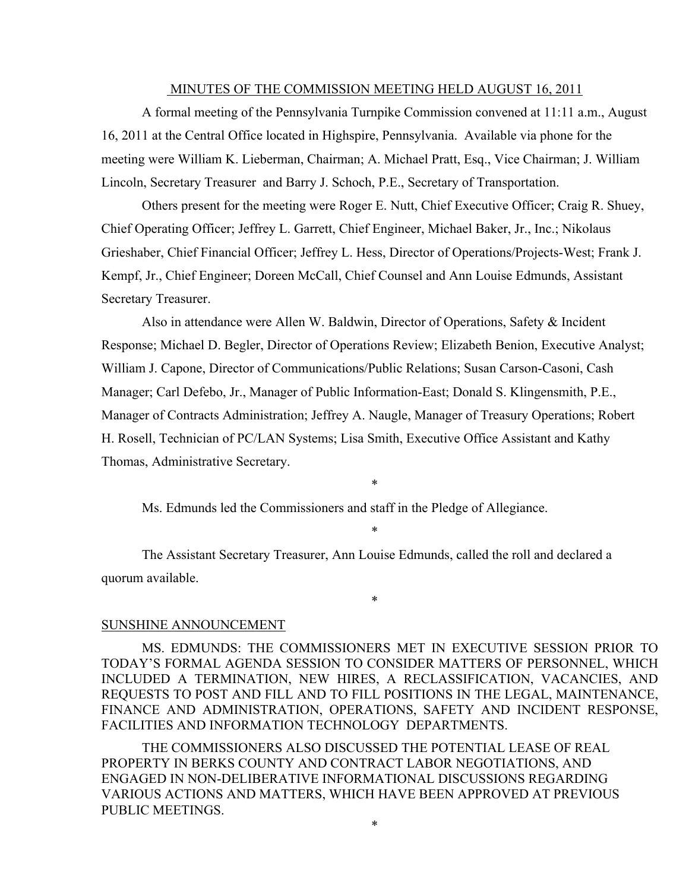#### MINUTES OF THE COMMISSION MEETING HELD AUGUST 16, 2011

A formal meeting of the Pennsylvania Turnpike Commission convened at 11:11 a.m., August 16, 2011 at the Central Office located in Highspire, Pennsylvania. Available via phone for the meeting were William K. Lieberman, Chairman; A. Michael Pratt, Esq., Vice Chairman; J. William Lincoln, Secretary Treasurer and Barry J. Schoch, P.E., Secretary of Transportation.

Others present for the meeting were Roger E. Nutt, Chief Executive Officer; Craig R. Shuey, Chief Operating Officer; Jeffrey L. Garrett, Chief Engineer, Michael Baker, Jr., Inc.; Nikolaus Grieshaber, Chief Financial Officer; Jeffrey L. Hess, Director of Operations/Projects-West; Frank J. Kempf, Jr., Chief Engineer; Doreen McCall, Chief Counsel and Ann Louise Edmunds, Assistant Secretary Treasurer.

Also in attendance were Allen W. Baldwin, Director of Operations, Safety & Incident Response; Michael D. Begler, Director of Operations Review; Elizabeth Benion, Executive Analyst; William J. Capone, Director of Communications/Public Relations; Susan Carson-Casoni, Cash Manager; Carl Defebo, Jr., Manager of Public Information-East; Donald S. Klingensmith, P.E., Manager of Contracts Administration; Jeffrey A. Naugle, Manager of Treasury Operations; Robert H. Rosell, Technician of PC/LAN Systems; Lisa Smith, Executive Office Assistant and Kathy Thomas, Administrative Secretary.

Ms. Edmunds led the Commissioners and staff in the Pledge of Allegiance.

\*

\*

The Assistant Secretary Treasurer, Ann Louise Edmunds, called the roll and declared a quorum available.

\*

#### SUNSHINE ANNOUNCEMENT

MS. EDMUNDS: THE COMMISSIONERS MET IN EXECUTIVE SESSION PRIOR TO TODAY'S FORMAL AGENDA SESSION TO CONSIDER MATTERS OF PERSONNEL, WHICH INCLUDED A TERMINATION, NEW HIRES, A RECLASSIFICATION, VACANCIES, AND REQUESTS TO POST AND FILL AND TO FILL POSITIONS IN THE LEGAL, MAINTENANCE, FINANCE AND ADMINISTRATION, OPERATIONS, SAFETY AND INCIDENT RESPONSE, FACILITIES AND INFORMATION TECHNOLOGY DEPARTMENTS.

THE COMMISSIONERS ALSO DISCUSSED THE POTENTIAL LEASE OF REAL PROPERTY IN BERKS COUNTY AND CONTRACT LABOR NEGOTIATIONS, AND ENGAGED IN NON-DELIBERATIVE INFORMATIONAL DISCUSSIONS REGARDING VARIOUS ACTIONS AND MATTERS, WHICH HAVE BEEN APPROVED AT PREVIOUS PUBLIC MEETINGS.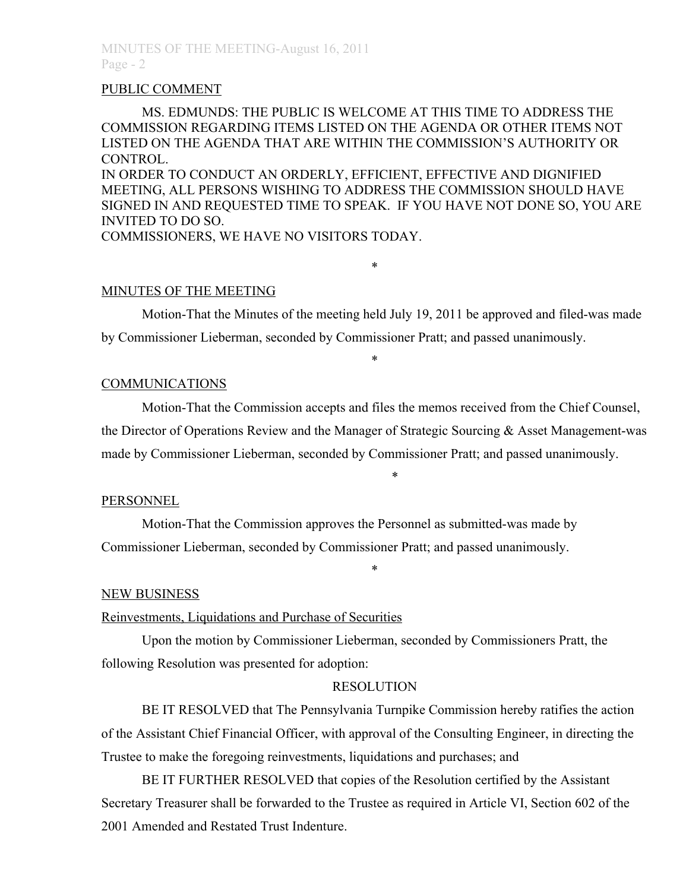#### PUBLIC COMMENT

MS. EDMUNDS: THE PUBLIC IS WELCOME AT THIS TIME TO ADDRESS THE COMMISSION REGARDING ITEMS LISTED ON THE AGENDA OR OTHER ITEMS NOT LISTED ON THE AGENDA THAT ARE WITHIN THE COMMISSION'S AUTHORITY OR CONTROL.

IN ORDER TO CONDUCT AN ORDERLY, EFFICIENT, EFFECTIVE AND DIGNIFIED MEETING, ALL PERSONS WISHING TO ADDRESS THE COMMISSION SHOULD HAVE SIGNED IN AND REQUESTED TIME TO SPEAK. IF YOU HAVE NOT DONE SO, YOU ARE INVITED TO DO SO.

COMMISSIONERS, WE HAVE NO VISITORS TODAY.

## MINUTES OF THE MEETING

Motion-That the Minutes of the meeting held July 19, 2011 be approved and filed-was made by Commissioner Lieberman, seconded by Commissioner Pratt; and passed unanimously.

\*

\*

## **COMMUNICATIONS**

Motion-That the Commission accepts and files the memos received from the Chief Counsel, the Director of Operations Review and the Manager of Strategic Sourcing & Asset Management-was made by Commissioner Lieberman, seconded by Commissioner Pratt; and passed unanimously.

\*

## PERSONNEL

Motion-That the Commission approves the Personnel as submitted-was made by Commissioner Lieberman, seconded by Commissioner Pratt; and passed unanimously.

#### NEW BUSINESS

## Reinvestments, Liquidations and Purchase of Securities

Upon the motion by Commissioner Lieberman, seconded by Commissioners Pratt, the following Resolution was presented for adoption:

# RESOLUTION

\*

BE IT RESOLVED that The Pennsylvania Turnpike Commission hereby ratifies the action of the Assistant Chief Financial Officer, with approval of the Consulting Engineer, in directing the Trustee to make the foregoing reinvestments, liquidations and purchases; and

BE IT FURTHER RESOLVED that copies of the Resolution certified by the Assistant Secretary Treasurer shall be forwarded to the Trustee as required in Article VI, Section 602 of the 2001 Amended and Restated Trust Indenture.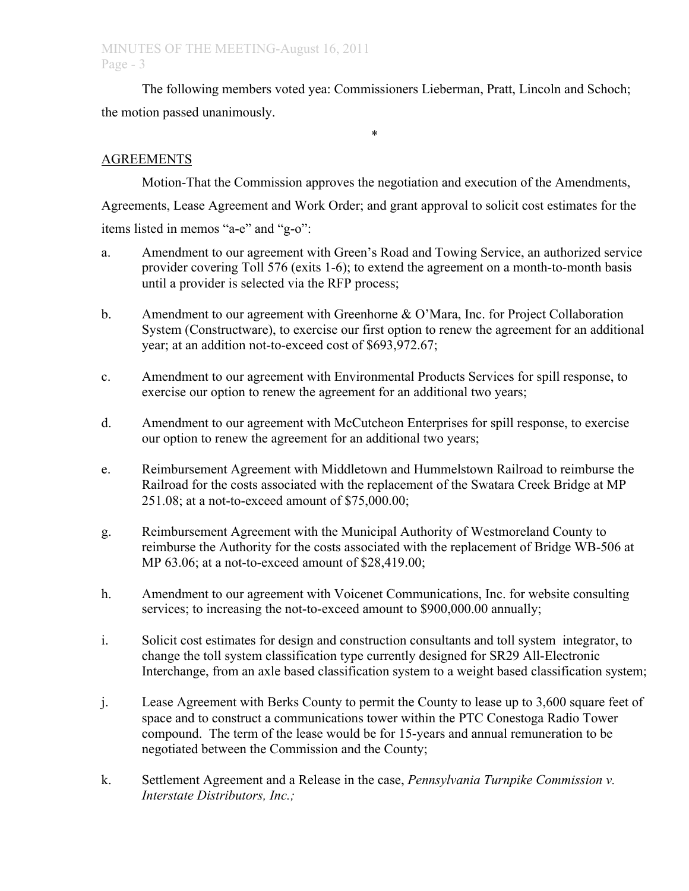# MINUTES OF THE MEETING-August 16, 2011 Page - 3

The following members voted yea: Commissioners Lieberman, Pratt, Lincoln and Schoch; the motion passed unanimously.

\*

# AGREEMENTS

Motion-That the Commission approves the negotiation and execution of the Amendments, Agreements, Lease Agreement and Work Order; and grant approval to solicit cost estimates for the items listed in memos "a-e" and "g-o":

- a. Amendment to our agreement with Green's Road and Towing Service, an authorized service provider covering Toll 576 (exits 1-6); to extend the agreement on a month-to-month basis until a provider is selected via the RFP process;
- b. Amendment to our agreement with Greenhorne & O'Mara, Inc. for Project Collaboration System (Constructware), to exercise our first option to renew the agreement for an additional year; at an addition not-to-exceed cost of \$693,972.67;
- c. Amendment to our agreement with Environmental Products Services for spill response, to exercise our option to renew the agreement for an additional two years;
- d. Amendment to our agreement with McCutcheon Enterprises for spill response, to exercise our option to renew the agreement for an additional two years;
- e. Reimbursement Agreement with Middletown and Hummelstown Railroad to reimburse the Railroad for the costs associated with the replacement of the Swatara Creek Bridge at MP 251.08; at a not-to-exceed amount of \$75,000.00;
- g. Reimbursement Agreement with the Municipal Authority of Westmoreland County to reimburse the Authority for the costs associated with the replacement of Bridge WB-506 at MP 63.06; at a not-to-exceed amount of \$28,419.00;
- h. Amendment to our agreement with Voicenet Communications, Inc. for website consulting services; to increasing the not-to-exceed amount to \$900,000.00 annually;
- i. Solicit cost estimates for design and construction consultants and toll system integrator, to change the toll system classification type currently designed for SR29 All-Electronic Interchange, from an axle based classification system to a weight based classification system;
- j. Lease Agreement with Berks County to permit the County to lease up to 3,600 square feet of space and to construct a communications tower within the PTC Conestoga Radio Tower compound. The term of the lease would be for 15-years and annual remuneration to be negotiated between the Commission and the County;
- k. Settlement Agreement and a Release in the case, *Pennsylvania Turnpike Commission v. Interstate Distributors, Inc.;*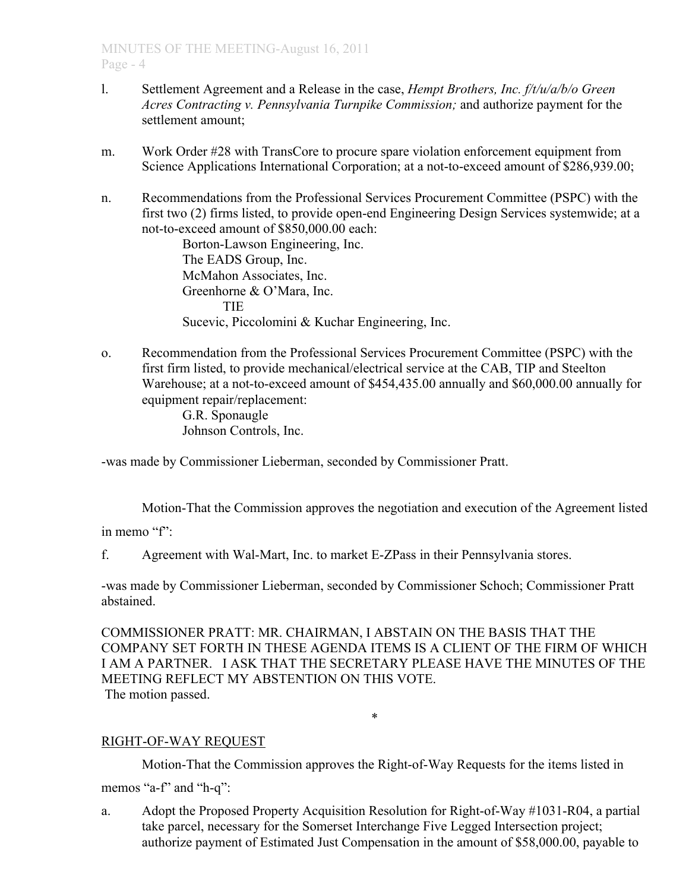- l. Settlement Agreement and a Release in the case, *Hempt Brothers, Inc. f/t/u/a/b/o Green Acres Contracting v. Pennsylvania Turnpike Commission;* and authorize payment for the settlement amount;
- m. Work Order #28 with TransCore to procure spare violation enforcement equipment from Science Applications International Corporation; at a not-to-exceed amount of \$286,939.00;
- n. Recommendations from the Professional Services Procurement Committee (PSPC) with the first two (2) firms listed, to provide open-end Engineering Design Services systemwide; at a not-to-exceed amount of \$850,000.00 each:

Borton-Lawson Engineering, Inc. The EADS Group, Inc. McMahon Associates, Inc. Greenhorne & O'Mara, Inc. **TIE** Sucevic, Piccolomini & Kuchar Engineering, Inc.

o. Recommendation from the Professional Services Procurement Committee (PSPC) with the first firm listed, to provide mechanical/electrical service at the CAB, TIP and Steelton Warehouse; at a not-to-exceed amount of \$454,435.00 annually and \$60,000.00 annually for equipment repair/replacement:

G.R. Sponaugle Johnson Controls, Inc.

-was made by Commissioner Lieberman, seconded by Commissioner Pratt.

Motion-That the Commission approves the negotiation and execution of the Agreement listed

in memo "f"

f. Agreement with Wal-Mart, Inc. to market E-ZPass in their Pennsylvania stores.

-was made by Commissioner Lieberman, seconded by Commissioner Schoch; Commissioner Pratt abstained.

COMMISSIONER PRATT: MR. CHAIRMAN, I ABSTAIN ON THE BASIS THAT THE COMPANY SET FORTH IN THESE AGENDA ITEMS IS A CLIENT OF THE FIRM OF WHICH I AM A PARTNER. I ASK THAT THE SECRETARY PLEASE HAVE THE MINUTES OF THE MEETING REFLECT MY ABSTENTION ON THIS VOTE. The motion passed.

\*

# RIGHT-OF-WAY REQUEST

Motion-That the Commission approves the Right-of-Way Requests for the items listed in

memos "a-f" and "h-q":

a. Adopt the Proposed Property Acquisition Resolution for Right-of-Way #1031-R04, a partial take parcel, necessary for the Somerset Interchange Five Legged Intersection project; authorize payment of Estimated Just Compensation in the amount of \$58,000.00, payable to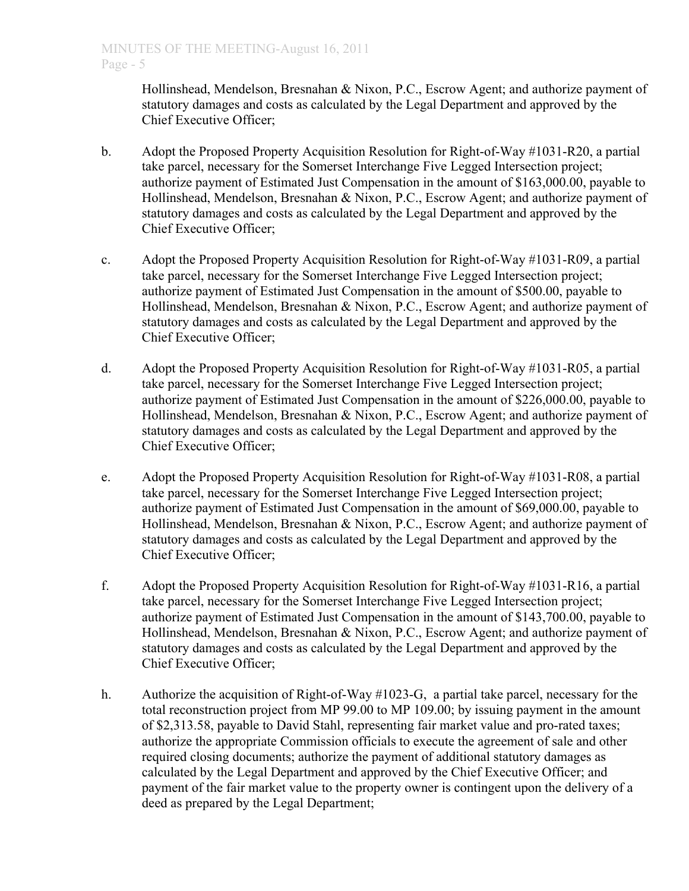Hollinshead, Mendelson, Bresnahan & Nixon, P.C., Escrow Agent; and authorize payment of statutory damages and costs as calculated by the Legal Department and approved by the Chief Executive Officer;

- b. Adopt the Proposed Property Acquisition Resolution for Right-of-Way #1031-R20, a partial take parcel, necessary for the Somerset Interchange Five Legged Intersection project; authorize payment of Estimated Just Compensation in the amount of \$163,000.00, payable to Hollinshead, Mendelson, Bresnahan & Nixon, P.C., Escrow Agent; and authorize payment of statutory damages and costs as calculated by the Legal Department and approved by the Chief Executive Officer;
- c. Adopt the Proposed Property Acquisition Resolution for Right-of-Way #1031-R09, a partial take parcel, necessary for the Somerset Interchange Five Legged Intersection project; authorize payment of Estimated Just Compensation in the amount of \$500.00, payable to Hollinshead, Mendelson, Bresnahan & Nixon, P.C., Escrow Agent; and authorize payment of statutory damages and costs as calculated by the Legal Department and approved by the Chief Executive Officer;
- d. Adopt the Proposed Property Acquisition Resolution for Right-of-Way #1031-R05, a partial take parcel, necessary for the Somerset Interchange Five Legged Intersection project; authorize payment of Estimated Just Compensation in the amount of \$226,000.00, payable to Hollinshead, Mendelson, Bresnahan & Nixon, P.C., Escrow Agent; and authorize payment of statutory damages and costs as calculated by the Legal Department and approved by the Chief Executive Officer;
- e. Adopt the Proposed Property Acquisition Resolution for Right-of-Way #1031-R08, a partial take parcel, necessary for the Somerset Interchange Five Legged Intersection project; authorize payment of Estimated Just Compensation in the amount of \$69,000.00, payable to Hollinshead, Mendelson, Bresnahan & Nixon, P.C., Escrow Agent; and authorize payment of statutory damages and costs as calculated by the Legal Department and approved by the Chief Executive Officer;
- f. Adopt the Proposed Property Acquisition Resolution for Right-of-Way #1031-R16, a partial take parcel, necessary for the Somerset Interchange Five Legged Intersection project; authorize payment of Estimated Just Compensation in the amount of \$143,700.00, payable to Hollinshead, Mendelson, Bresnahan & Nixon, P.C., Escrow Agent; and authorize payment of statutory damages and costs as calculated by the Legal Department and approved by the Chief Executive Officer;
- h. Authorize the acquisition of Right-of-Way #1023-G, a partial take parcel, necessary for the total reconstruction project from MP 99.00 to MP 109.00; by issuing payment in the amount of \$2,313.58, payable to David Stahl, representing fair market value and pro-rated taxes; authorize the appropriate Commission officials to execute the agreement of sale and other required closing documents; authorize the payment of additional statutory damages as calculated by the Legal Department and approved by the Chief Executive Officer; and payment of the fair market value to the property owner is contingent upon the delivery of a deed as prepared by the Legal Department;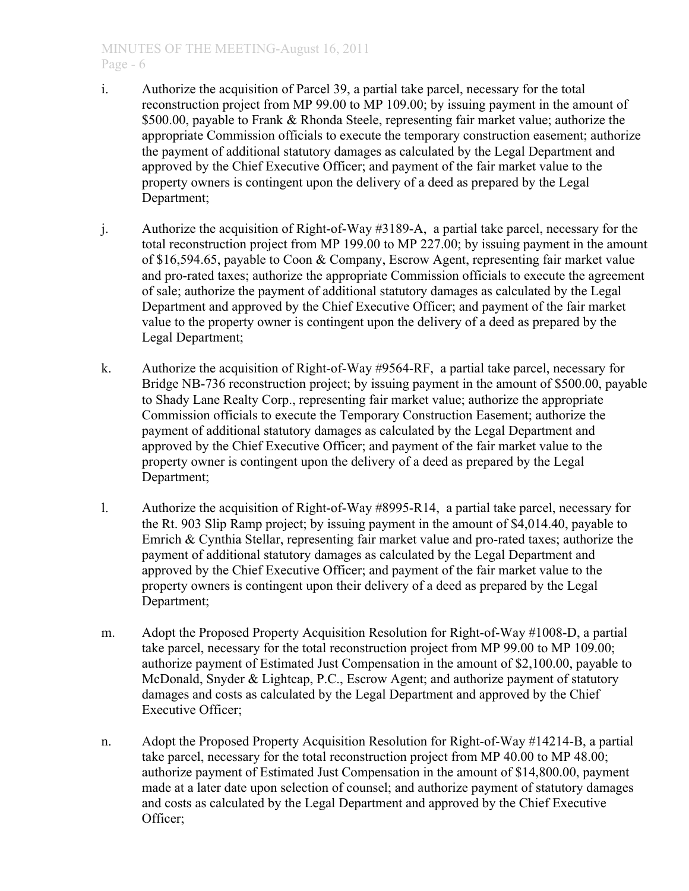# MINUTES OF THE MEETING-August 16, 2011 Page - 6

- i. Authorize the acquisition of Parcel 39, a partial take parcel, necessary for the total reconstruction project from MP 99.00 to MP 109.00; by issuing payment in the amount of \$500.00, payable to Frank & Rhonda Steele, representing fair market value; authorize the appropriate Commission officials to execute the temporary construction easement; authorize the payment of additional statutory damages as calculated by the Legal Department and approved by the Chief Executive Officer; and payment of the fair market value to the property owners is contingent upon the delivery of a deed as prepared by the Legal Department;
- j. Authorize the acquisition of Right-of-Way #3189-A, a partial take parcel, necessary for the total reconstruction project from MP 199.00 to MP 227.00; by issuing payment in the amount of \$16,594.65, payable to Coon & Company, Escrow Agent, representing fair market value and pro-rated taxes; authorize the appropriate Commission officials to execute the agreement of sale; authorize the payment of additional statutory damages as calculated by the Legal Department and approved by the Chief Executive Officer; and payment of the fair market value to the property owner is contingent upon the delivery of a deed as prepared by the Legal Department;
- k. Authorize the acquisition of Right-of-Way #9564-RF, a partial take parcel, necessary for Bridge NB-736 reconstruction project; by issuing payment in the amount of \$500.00, payable to Shady Lane Realty Corp., representing fair market value; authorize the appropriate Commission officials to execute the Temporary Construction Easement; authorize the payment of additional statutory damages as calculated by the Legal Department and approved by the Chief Executive Officer; and payment of the fair market value to the property owner is contingent upon the delivery of a deed as prepared by the Legal Department;
- l. Authorize the acquisition of Right-of-Way #8995-R14, a partial take parcel, necessary for the Rt. 903 Slip Ramp project; by issuing payment in the amount of \$4,014.40, payable to Emrich & Cynthia Stellar, representing fair market value and pro-rated taxes; authorize the payment of additional statutory damages as calculated by the Legal Department and approved by the Chief Executive Officer; and payment of the fair market value to the property owners is contingent upon their delivery of a deed as prepared by the Legal Department;
- m. Adopt the Proposed Property Acquisition Resolution for Right-of-Way #1008-D, a partial take parcel, necessary for the total reconstruction project from MP 99.00 to MP 109.00; authorize payment of Estimated Just Compensation in the amount of \$2,100.00, payable to McDonald, Snyder & Lightcap, P.C., Escrow Agent; and authorize payment of statutory damages and costs as calculated by the Legal Department and approved by the Chief Executive Officer;
- n. Adopt the Proposed Property Acquisition Resolution for Right-of-Way #14214-B, a partial take parcel, necessary for the total reconstruction project from MP 40.00 to MP 48.00; authorize payment of Estimated Just Compensation in the amount of \$14,800.00, payment made at a later date upon selection of counsel; and authorize payment of statutory damages and costs as calculated by the Legal Department and approved by the Chief Executive Officer;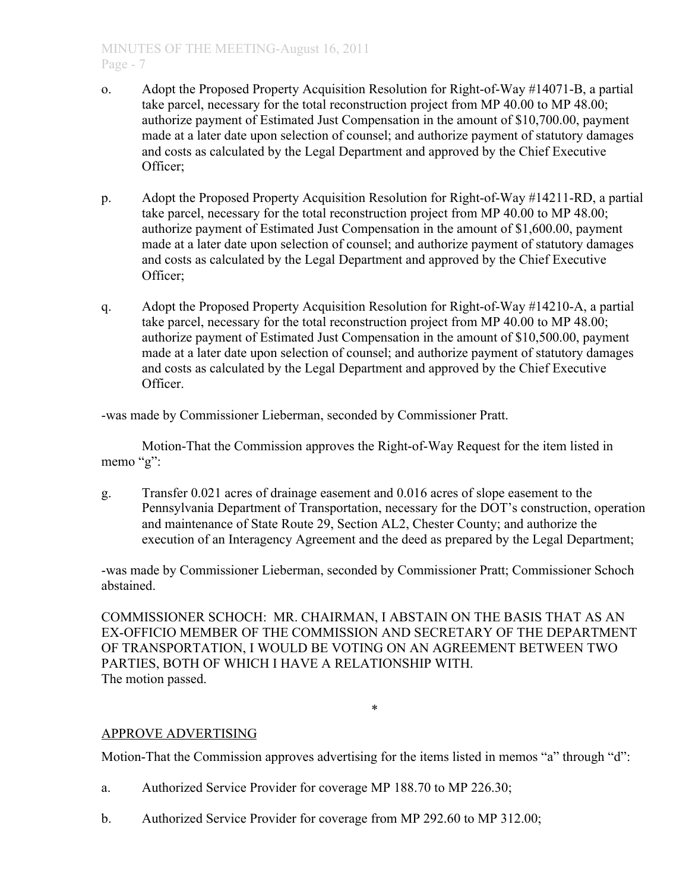- o. Adopt the Proposed Property Acquisition Resolution for Right-of-Way #14071-B, a partial take parcel, necessary for the total reconstruction project from MP 40.00 to MP 48.00; authorize payment of Estimated Just Compensation in the amount of \$10,700.00, payment made at a later date upon selection of counsel; and authorize payment of statutory damages and costs as calculated by the Legal Department and approved by the Chief Executive Officer;
- p. Adopt the Proposed Property Acquisition Resolution for Right-of-Way #14211-RD, a partial take parcel, necessary for the total reconstruction project from MP 40.00 to MP 48.00; authorize payment of Estimated Just Compensation in the amount of \$1,600.00, payment made at a later date upon selection of counsel; and authorize payment of statutory damages and costs as calculated by the Legal Department and approved by the Chief Executive Officer;
- q. Adopt the Proposed Property Acquisition Resolution for Right-of-Way #14210-A, a partial take parcel, necessary for the total reconstruction project from MP 40.00 to MP 48.00; authorize payment of Estimated Just Compensation in the amount of \$10,500.00, payment made at a later date upon selection of counsel; and authorize payment of statutory damages and costs as calculated by the Legal Department and approved by the Chief Executive Officer.

-was made by Commissioner Lieberman, seconded by Commissioner Pratt.

Motion-That the Commission approves the Right-of-Way Request for the item listed in memo "g":

g. Transfer 0.021 acres of drainage easement and 0.016 acres of slope easement to the Pennsylvania Department of Transportation, necessary for the DOT's construction, operation and maintenance of State Route 29, Section AL2, Chester County; and authorize the execution of an Interagency Agreement and the deed as prepared by the Legal Department;

-was made by Commissioner Lieberman, seconded by Commissioner Pratt; Commissioner Schoch abstained.

COMMISSIONER SCHOCH: MR. CHAIRMAN, I ABSTAIN ON THE BASIS THAT AS AN EX-OFFICIO MEMBER OF THE COMMISSION AND SECRETARY OF THE DEPARTMENT OF TRANSPORTATION, I WOULD BE VOTING ON AN AGREEMENT BETWEEN TWO PARTIES, BOTH OF WHICH I HAVE A RELATIONSHIP WITH. The motion passed.

\*

# APPROVE ADVERTISING

Motion-That the Commission approves advertising for the items listed in memos "a" through "d":

- a. Authorized Service Provider for coverage MP 188.70 to MP 226.30;
- b. Authorized Service Provider for coverage from MP 292.60 to MP 312.00;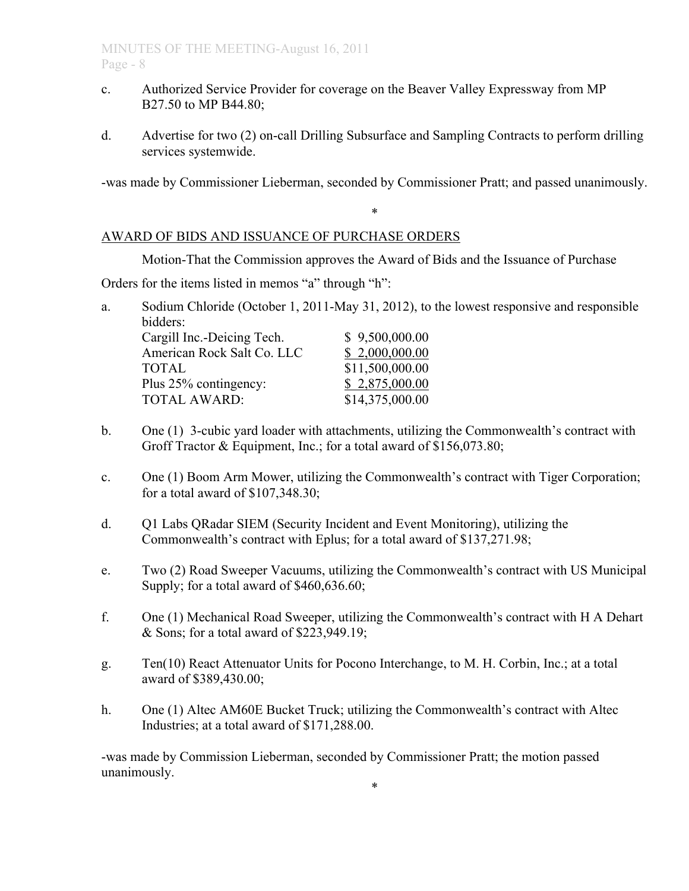- c. Authorized Service Provider for coverage on the Beaver Valley Expressway from MP B27.50 to MP B44.80;
- d. Advertise for two (2) on-call Drilling Subsurface and Sampling Contracts to perform drilling services systemwide.

-was made by Commissioner Lieberman, seconded by Commissioner Pratt; and passed unanimously.

\*

## AWARD OF BIDS AND ISSUANCE OF PURCHASE ORDERS

Motion-That the Commission approves the Award of Bids and the Issuance of Purchase

Orders for the items listed in memos "a" through "h":

a. Sodium Chloride (October 1, 2011-May 31, 2012), to the lowest responsive and responsible bidders:  $Caroill Inc = Deicino Tech$   $$9,500,000,00$ 

| Cargin the Delenig Teen.   | 0, 2, 00, 000, 00 |
|----------------------------|-------------------|
| American Rock Salt Co. LLC | \$2,000,000.00    |
| TOTAL                      | \$11,500,000.00   |
| Plus 25% contingency:      | \$2,875,000.00    |
| <b>TOTAL AWARD:</b>        | \$14,375,000.00   |

- b. One (1) 3-cubic yard loader with attachments, utilizing the Commonwealth's contract with Groff Tractor & Equipment, Inc.; for a total award of \$156,073.80;
- c. One (1) Boom Arm Mower, utilizing the Commonwealth's contract with Tiger Corporation; for a total award of \$107,348.30;
- d. Q1 Labs QRadar SIEM (Security Incident and Event Monitoring), utilizing the Commonwealth's contract with Eplus; for a total award of \$137,271.98;
- e. Two (2) Road Sweeper Vacuums, utilizing the Commonwealth's contract with US Municipal Supply; for a total award of \$460,636.60;
- f. One (1) Mechanical Road Sweeper, utilizing the Commonwealth's contract with H A Dehart & Sons; for a total award of \$223,949.19;
- g. Ten(10) React Attenuator Units for Pocono Interchange, to M. H. Corbin, Inc.; at a total award of \$389,430.00;
- h. One (1) Altec AM60E Bucket Truck; utilizing the Commonwealth's contract with Altec Industries; at a total award of \$171,288.00.

-was made by Commission Lieberman, seconded by Commissioner Pratt; the motion passed unanimously.

\*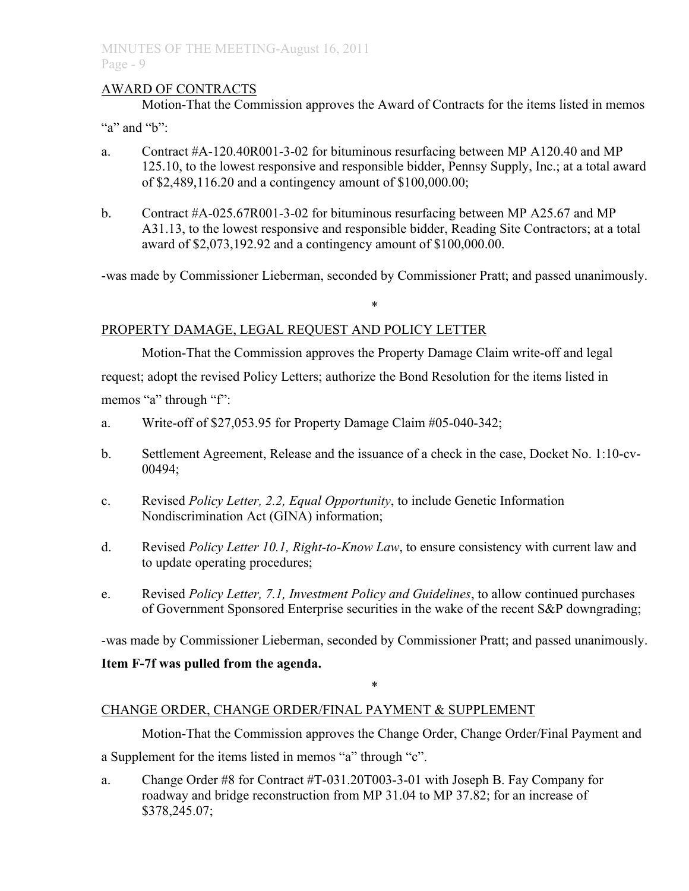# AWARD OF CONTRACTS

Motion-That the Commission approves the Award of Contracts for the items listed in memos

"a" and " $b$ "

- a. Contract #A-120.40R001-3-02 for bituminous resurfacing between MP A120.40 and MP 125.10, to the lowest responsive and responsible bidder, Pennsy Supply, Inc.; at a total award of \$2,489,116.20 and a contingency amount of \$100,000.00;
- b. Contract #A-025.67R001-3-02 for bituminous resurfacing between MP A25.67 and MP A31.13, to the lowest responsive and responsible bidder, Reading Site Contractors; at a total award of \$2,073,192.92 and a contingency amount of \$100,000.00.

-was made by Commissioner Lieberman, seconded by Commissioner Pratt; and passed unanimously.

\*

# PROPERTY DAMAGE, LEGAL REQUEST AND POLICY LETTER

Motion-That the Commission approves the Property Damage Claim write-off and legal request; adopt the revised Policy Letters; authorize the Bond Resolution for the items listed in memos "a" through "f":

- a. Write-off of \$27,053.95 for Property Damage Claim #05-040-342;
- b. Settlement Agreement, Release and the issuance of a check in the case, Docket No. 1:10-cv-00494;
- c. Revised *Policy Letter, 2.2, Equal Opportunity*, to include Genetic Information Nondiscrimination Act (GINA) information;
- d. Revised *Policy Letter 10.1, Right-to-Know Law*, to ensure consistency with current law and to update operating procedures;
- e. Revised *Policy Letter, 7.1, Investment Policy and Guidelines*, to allow continued purchases of Government Sponsored Enterprise securities in the wake of the recent S&P downgrading;

-was made by Commissioner Lieberman, seconded by Commissioner Pratt; and passed unanimously.

\*

# **Item F-7f was pulled from the agenda.**

# CHANGE ORDER, CHANGE ORDER/FINAL PAYMENT & SUPPLEMENT

Motion-That the Commission approves the Change Order, Change Order/Final Payment and

a Supplement for the items listed in memos "a" through "c".

a. Change Order #8 for Contract #T-031.20T003-3-01 with Joseph B. Fay Company for roadway and bridge reconstruction from MP 31.04 to MP 37.82; for an increase of \$378,245.07;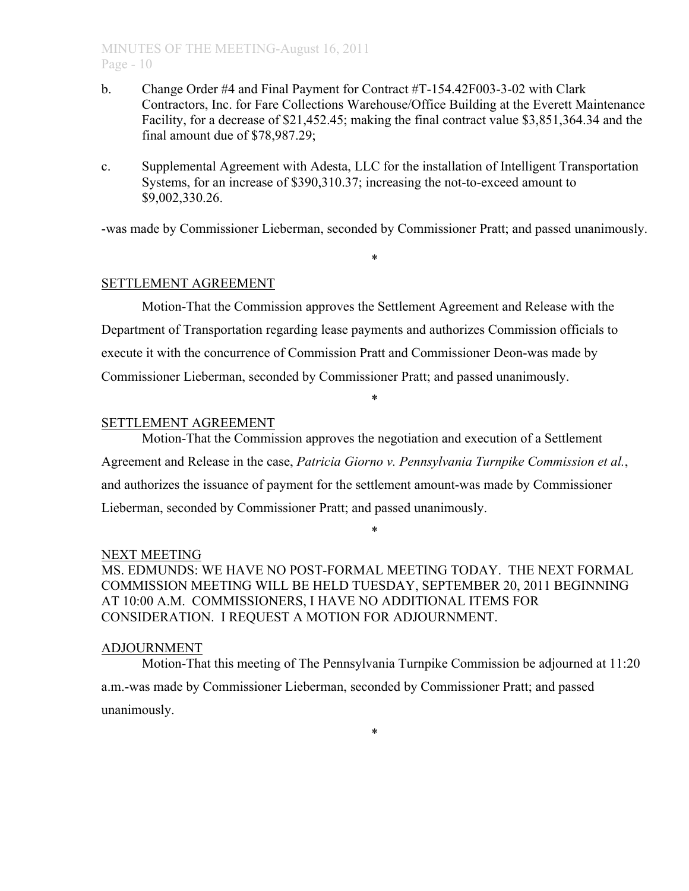# MINUTES OF THE MEETING-August 16, 2011  $P$ age - 10

- b. Change Order #4 and Final Payment for Contract #T-154.42F003-3-02 with Clark Contractors, Inc. for Fare Collections Warehouse/Office Building at the Everett Maintenance Facility, for a decrease of \$21,452.45; making the final contract value \$3,851,364.34 and the final amount due of \$78,987.29;
- c. Supplemental Agreement with Adesta, LLC for the installation of Intelligent Transportation Systems, for an increase of \$390,310.37; increasing the not-to-exceed amount to \$9,002,330.26.

-was made by Commissioner Lieberman, seconded by Commissioner Pratt; and passed unanimously.

\*

## SETTLEMENT AGREEMENT

Motion-That the Commission approves the Settlement Agreement and Release with the Department of Transportation regarding lease payments and authorizes Commission officials to execute it with the concurrence of Commission Pratt and Commissioner Deon-was made by Commissioner Lieberman, seconded by Commissioner Pratt; and passed unanimously.

\*

## SETTLEMENT AGREEMENT

Motion-That the Commission approves the negotiation and execution of a Settlement Agreement and Release in the case, *Patricia Giorno v. Pennsylvania Turnpike Commission et al.*, and authorizes the issuance of payment for the settlement amount-was made by Commissioner Lieberman, seconded by Commissioner Pratt; and passed unanimously.

## NEXT MEETING

MS. EDMUNDS: WE HAVE NO POST-FORMAL MEETING TODAY. THE NEXT FORMAL COMMISSION MEETING WILL BE HELD TUESDAY, SEPTEMBER 20, 2011 BEGINNING AT 10:00 A.M. COMMISSIONERS, I HAVE NO ADDITIONAL ITEMS FOR CONSIDERATION. I REQUEST A MOTION FOR ADJOURNMENT.

\*

## ADJOURNMENT

Motion-That this meeting of The Pennsylvania Turnpike Commission be adjourned at 11:20 a.m.-was made by Commissioner Lieberman, seconded by Commissioner Pratt; and passed unanimously.

\*